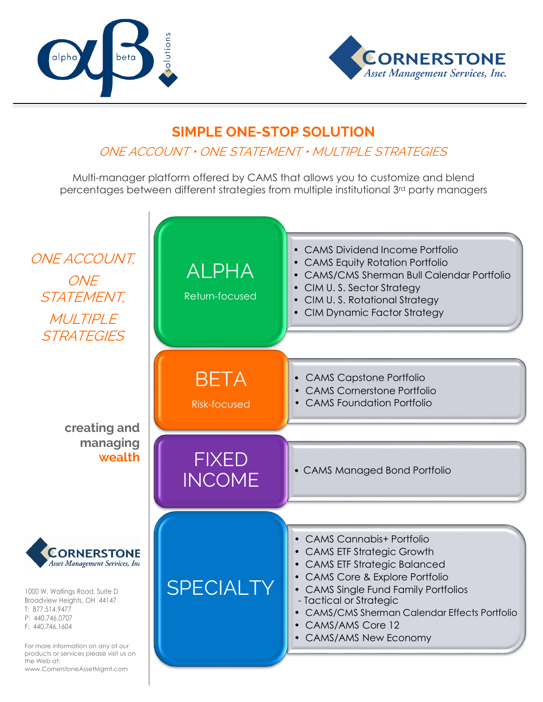



## **SIMPLE ONE-STOP SOLUTION**

## ONE ACCOUNT • ONE STATEMENT • MULTIPLE STRATEGIES

Multi-manager platform offered by CAMS that allows you to customize and blend percentages between different strategies from multiple institutional 3rd party managers

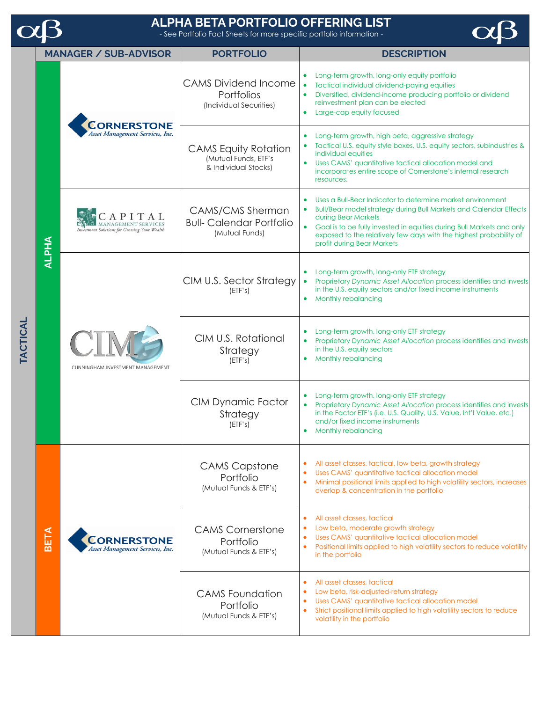|          |              |                                                       | <b>ALPHA BETA PORTFOLIO OFFERING LIST</b><br>- See Portfolio Fact Sheets for more specific portfolio information - |                                                                                                                                                                                                                                                                                                                                                           |
|----------|--------------|-------------------------------------------------------|--------------------------------------------------------------------------------------------------------------------|-----------------------------------------------------------------------------------------------------------------------------------------------------------------------------------------------------------------------------------------------------------------------------------------------------------------------------------------------------------|
|          |              | <b>MANAGER / SUB-ADVISOR</b>                          | <b>PORTFOLIO</b>                                                                                                   | <b>DESCRIPTION</b>                                                                                                                                                                                                                                                                                                                                        |
| TACTICAL | <b>ALPHA</b> | <b>CORNERSTONE</b><br>Asset Management Services, Inc. | <b>CAMS Dividend Income</b><br>Portfolios<br>(Individual Securities)                                               | Long-term growth, long-only equity portfolio<br>Tactical individual dividend-paying equities<br>Diversified, dividend-income producing portfolio or dividend<br>reinvestment plan can be elected<br>Large-cap equity focused                                                                                                                              |
|          |              |                                                       | <b>CAMS</b> Equity Rotation<br>(Mutual Funds, ETF's<br>& Individual Stocks)                                        | Long-term growth, high beta, aggressive strategy<br>Tactical U.S. equity style boxes, U.S. equity sectors, subindustries &<br>individual equities<br>Uses CAMS' quantitative tactical allocation model and<br>incorporates entire scope of Cornerstone's internal research<br>resources.                                                                  |
|          |              | Investment Solutions for Growing Your Wealth          | <b>CAMS/CMS Sherman</b><br><b>Bull-Calendar Portfolio</b><br>(Mutual Funds)                                        | Uses a Bull-Bear Indicator to determine market environment<br><b>Bull/Bear model strategy during Bull Markets and Calendar Effects</b><br>$\bullet$<br>during Bear Markets<br>• Goal is to be fully invested in equities during Bull Markets and only<br>exposed to the relatively few days with the highest probability of<br>profit during Bear Markets |
|          |              | CUNNINGHAM INVESTMENT MANAGEMENT                      | CIM U.S. Sector Strategy<br>(ETF's)                                                                                | Long-term growth, long-only ETF strategy<br>Proprietary Dynamic Asset Allocation process identifies and invests<br>in the U.S. equity sectors and/or fixed income instruments<br>Monthly rebalancing<br>$\bullet$                                                                                                                                         |
|          |              |                                                       | CIM U.S. Rotational<br>Strategy<br>(ETF's)                                                                         | Long-term growth, long-only ETF strategy<br>Proprietary Dynamic Asset Allocation process identifies and invests<br>$\bullet$<br>in the U.S. equity sectors<br>Monthly rebalancing                                                                                                                                                                         |
|          |              |                                                       | <b>CIM Dynamic Factor</b><br>Strategy<br>(ETF's)                                                                   | Long-term growth, long-only ETF strategy<br>Proprietary Dynamic Asset Allocation process identifies and invests<br>in the Factor ETF's (i.e. U.S. Quality, U.S. Value, Int'l Value, etc.)<br>and/or fixed income instruments<br><b>Monthly rebalancing</b>                                                                                                |
|          | <b>BETA</b>  | <b>CORNERSTONE</b><br>Asset Management Services, Inc. | <b>CAMS Capstone</b><br>Portfolio<br>(Mutual Funds & ETF's)                                                        | All asset classes, tactical, low beta, growth strategy<br>Uses CAMS' quantitative tactical allocation model<br>Minimal positional limits applied to high volatility sectors, increases<br>overlap & concentration in the portfolio                                                                                                                        |
|          |              |                                                       | <b>CAMS Cornerstone</b><br>Portfolio<br>(Mutual Funds & ETF's)                                                     | All asset classes, tactical<br>$\bullet$<br>Low beta, moderate growth strategy<br>Uses CAMS' quantitative tactical allocation model<br>Positional limits applied to high volatility sectors to reduce volatility<br>in the portfolio                                                                                                                      |
|          |              |                                                       | <b>CAMS</b> Foundation<br>Portfolio<br>(Mutual Funds & ETF's)                                                      | All asset classes, tactical<br>$\bullet$<br>Low beta, risk-adjusted-return strategy<br>Uses CAMS' quantitative tactical allocation model<br>Strict positional limits applied to high volatility sectors to reduce<br>volatility in the portfolio                                                                                                          |